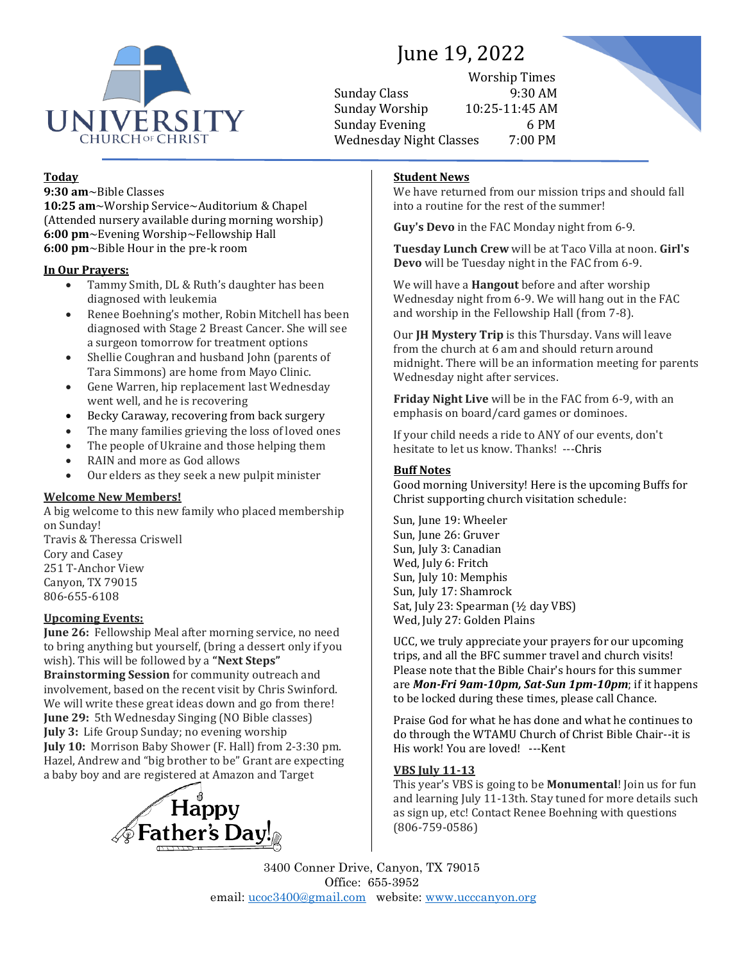

# June 19, 2022

Worship Times Sunday Class 9:30 AM Sunday Worship 10:25-11:45 AM Sunday Evening 6 PM Wednesday Night Classes 7:00 PM



# **Today**

**9:30 am**~Bible Classes **10:25 am**~Worship Service~Auditorium & Chapel (Attended nursery available during morning worship) **6:00 pm**~Evening Worship~Fellowship Hall **6:00 pm**~Bible Hour in the pre-k room

### **In Our Prayers:**

- Tammy Smith, DL & Ruth's daughter has been diagnosed with leukemia
- Renee Boehning's mother, Robin Mitchell has been diagnosed with Stage 2 Breast Cancer. She will see a surgeon tomorrow for treatment options
- Shellie Coughran and husband John (parents of Tara Simmons) are home from Mayo Clinic.
- Gene Warren, hip replacement last Wednesday went well, and he is recovering
- Becky Caraway, recovering from back surgery
- The many families grieving the loss of loved ones
- The people of Ukraine and those helping them
- RAIN and more as God allows
- Our elders as they seek a new pulpit minister

# **Welcome New Members!**

A big welcome to this new family who placed membership on Sunday! Travis & Theressa Criswell Cory and Casey 251 T-Anchor View Canyon, TX 79015 806-655-6108

## **Upcoming Events:**

**June 26:** Fellowship Meal after morning service, no need to bring anything but yourself, (bring a dessert only if you wish). This will be followed by a **"Next Steps" Brainstorming Session** for community outreach and

involvement, based on the recent visit by Chris Swinford. We will write these great ideas down and go from there! **June 29:** 5th Wednesday Singing (NO Bible classes) **July 3:** Life Group Sunday; no evening worship **July 10:** Morrison Baby Shower (F. Hall) from 2-3:30 pm. Hazel, Andrew and "big brother to be" Grant are expecting a baby boy and are registered at Amazon and Target



# **Student News**

We have returned from our mission trips and should fall into a routine for the rest of the summer!

**Guy's Devo** in the FAC Monday night from 6-9.

**Tuesday Lunch Crew** will be at Taco Villa at noon. **Girl's Devo** will be Tuesday night in the FAC from 6-9.

We will have a **Hangout** before and after worship Wednesday night from 6-9. We will hang out in the FAC and worship in the Fellowship Hall (from 7-8).

Our **JH Mystery Trip** is this Thursday. Vans will leave from the church at 6 am and should return around midnight. There will be an information meeting for parents Wednesday night after services.

**Friday Night Live** will be in the FAC from 6-9, with an emphasis on board/card games or dominoes.

If your child needs a ride to ANY of our events, don't hesitate to let us know. Thanks! ---Chris

# **Buff Notes**

Good morning University! Here is the upcoming Buffs for Christ supporting church visitation schedule:

Sun, June 19: Wheeler Sun, June 26: Gruver Sun, July 3: Canadian Wed, July 6: Fritch Sun, July 10: Memphis Sun, July 17: Shamrock Sat, July 23: Spearman (½ day VBS) Wed, July 27: Golden Plains

UCC, we truly appreciate your prayers for our upcoming trips, and all the BFC summer travel and church visits! Please note that the Bible Chair's hours for this summer are *Mon-Fri 9am-10pm, Sat-Sun 1pm-10pm*; if it happens to be locked during these times, please call Chance.

Praise God for what he has done and what he continues to do through the WTAMU Church of Christ Bible Chair--it is His work! You are loved! ---Kent

## **VBS July 11-13**

This year's VBS is going to be **Monumental**! Join us for fun and learning July 11-13th. Stay tuned for more details such as sign up, etc! Contact Renee Boehning with questions (806-759-0586)

3400 Conner Drive, Canyon, TX 79015 Office: 655-3952 email: [ucoc3400@gmail.com](mailto:ucoc3400@gmail.com) website: [www.ucccanyon.org](http://www.ucccanyon.org/)